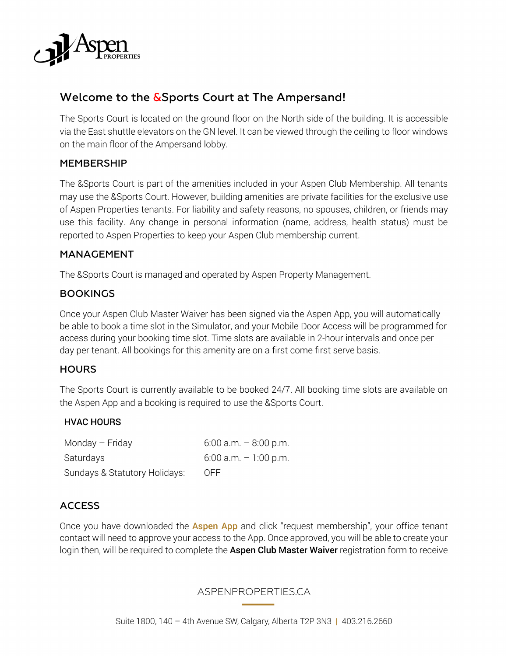

# Welcome to the &Sports Court at The Ampersand!

The Sports Court is located on the ground floor on the North side of the building. It is accessible via the East shuttle elevators on the GN level. It can be viewed through the ceiling to floor windows on the main floor of the Ampersand lobby.

#### MEMBERSHIP

The &Sports Court is part of the amenities included in your Aspen Club Membership. All tenants may use the &Sports Court. However, building amenities are private facilities for the exclusive use of Aspen Properties tenants. For liability and safety reasons, no spouses, children, or friends may use this facility. Any change in personal information (name, address, health status) must be reported to Aspen Properties to keep your Aspen Club membership current.

#### MANAGEMENT

The &Sports Court is managed and operated by Aspen Property Management.

#### **BOOKINGS**

Once your Aspen Club Master Waiver has been signed via the Aspen App, you will automatically be able to book a time slot in the Simulator, and your Mobile Door Access will be programmed for access during your booking time slot. Time slots are available in 2-hour intervals and once per day per tenant. All bookings for this amenity are on a first come first serve basis.

#### **HOURS**

The Sports Court is currently available to be booked 24/7. All booking time slots are available on the Aspen App and a booking is required to use the &Sports Court.

#### HVAC HOURS

Monday – Friday  $6:00$  a.m. –  $8:00$  p.m. Saturdays 6:00 a.m. – 1:00 p.m. Sundays & Statutory Holidays: OFF

#### **ACCESS**

Once you have downloaded the **Aspen App** and click "request membership", your office tenant contact will need to approve your access to the App. Once approved, you will be able to create your login then, will be required to complete the Aspen Club Master Waiver registration form to receive

#### ASPENPROPERTIES.CA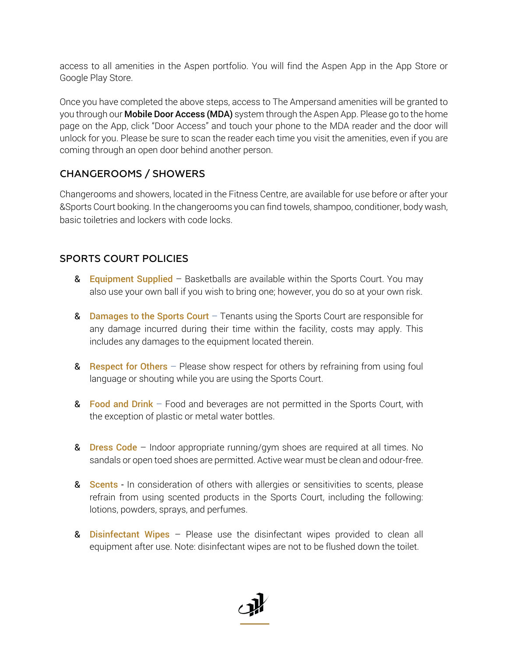access to all amenities in the Aspen portfolio. You will find the Aspen App in the App Store or Google Play Store.

Once you have completed the above steps, access to The Ampersand amenities will be granted to you through our **Mobile Door Access (MDA)** system through the Aspen App. Please go to the home page on the App, click "Door Access" and touch your phone to the MDA reader and the door will unlock for you. Please be sure to scan the reader each time you visit the amenities, even if you are coming through an open door behind another person.

## CHANGEROOMS / SHOWERS

Changerooms and showers, located in the Fitness Centre, are available for use before or after your &Sports Court booking. In the changerooms you can find towels, shampoo, conditioner, body wash, basic toiletries and lockers with code locks.

## SPORTS COURT POLICIES

- & Equipment Supplied Basketballs are available within the Sports Court. You may also use your own ball if you wish to bring one; however, you do so at your own risk.
- **& Damages to the Sports Court** Tenants using the Sports Court are responsible for any damage incurred during their time within the facility, costs may apply. This includes any damages to the equipment located therein.
- & Respect for Others Please show respect for others by refraining from using foul language or shouting while you are using the Sports Court.
- **&** Food and Drink Food and beverages are not permitted in the Sports Court, with the exception of plastic or metal water bottles.
- **& Dress Code** Indoor appropriate running/gym shoes are required at all times. No sandals or open toed shoes are permitted. Active wear must be clean and odour-free.
- 8 **Scents** In consideration of others with allergies or sensitivities to scents, please refrain from using scented products in the Sports Court, including the following: lotions, powders, sprays, and perfumes.
- & **Disinfectant Wipes** Please use the disinfectant wipes provided to clean all equipment after use. Note: disinfectant wipes are not to be flushed down the toilet.